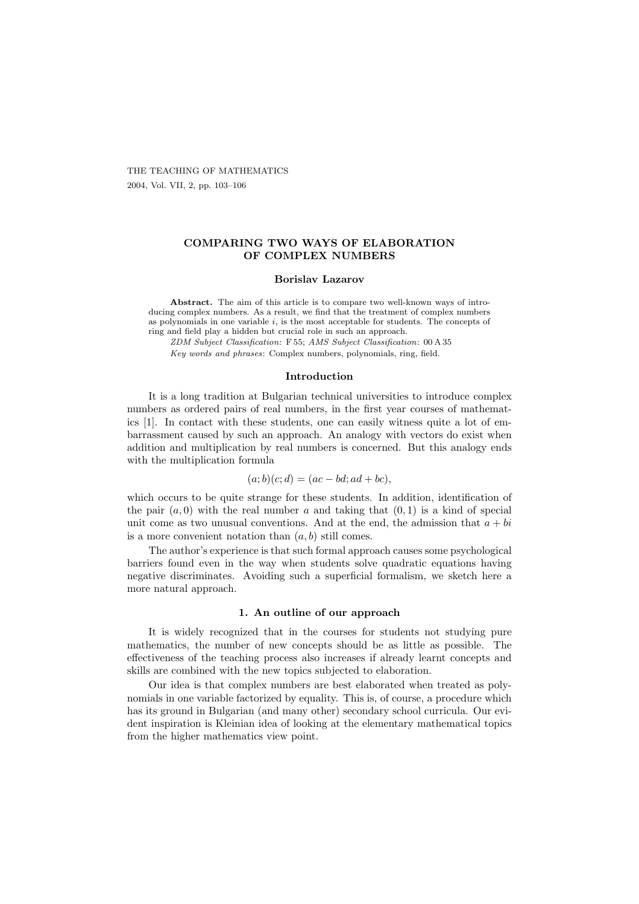THE TEACHING OF MATHEMATICS 2004, Vol. VII, 2, pp. 103–106

# COMPARING TWO WAYS OF ELABORATION OF COMPLEX NUMBERS

#### Borislav Lazarov

Abstract. The aim of this article is to compare two well-known ways of introducing complex numbers. As a result, we find that the treatment of complex numbers as polynomials in one variable  $i$ , is the most acceptable for students. The concepts of ring and field play a hidden but crucial role in such an approach.

ZDM Subject Classification: F 55; AMS Subject Classification: 00 A 35 Key words and phrases: Complex numbers, polynomials, ring, field.

#### Introduction

It is a long tradition at Bulgarian technical universities to introduce complex numbers as ordered pairs of real numbers, in the first year courses of mathematics [1]. In contact with these students, one can easily witness quite a lot of embarrassment caused by such an approach. An analogy with vectors do exist when addition and multiplication by real numbers is concerned. But this analogy ends with the multiplication formula

$$
(a;b)(c;d) = (ac-bd; ad+bc),
$$

which occurs to be quite strange for these students. In addition, identification of the pair  $(a, 0)$  with the real number a and taking that  $(0, 1)$  is a kind of special unit come as two unusual conventions. And at the end, the admission that  $a + bi$ is a more convenient notation than  $(a, b)$  still comes.

The author's experience is that such formal approach causes some psychological barriers found even in the way when students solve quadratic equations having negative discriminates. Avoiding such a superficial formalism, we sketch here a more natural approach.

#### 1. An outline of our approach

It is widely recognized that in the courses for students not studying pure mathematics, the number of new concepts should be as little as possible. The effectiveness of the teaching process also increases if already learnt concepts and skills are combined with the new topics subjected to elaboration.

Our idea is that complex numbers are best elaborated when treated as polynomials in one variable factorized by equality. This is, of course, a procedure which has its ground in Bulgarian (and many other) secondary school curricula. Our evident inspiration is Kleinian idea of looking at the elementary mathematical topics from the higher mathematics view point.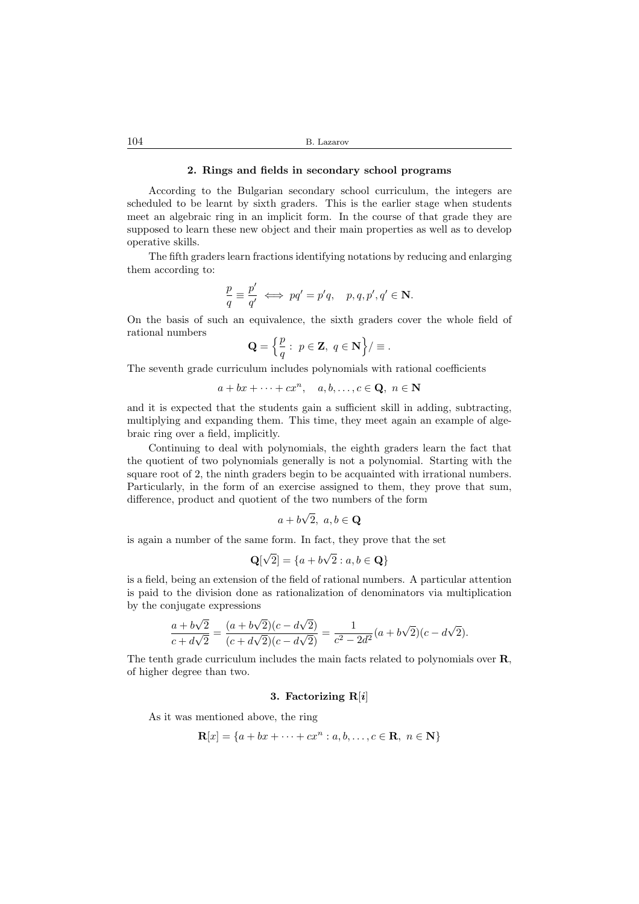## 2. Rings and fields in secondary school programs

According to the Bulgarian secondary school curriculum, the integers are scheduled to be learnt by sixth graders. This is the earlier stage when students meet an algebraic ring in an implicit form. In the course of that grade they are supposed to learn these new object and their main properties as well as to develop operative skills.

The fifth graders learn fractions identifying notations by reducing and enlarging them according to:

$$
\frac{p}{q} \equiv \frac{p'}{q'} \iff pq' = p'q, \quad p, q, p', q' \in \mathbb{N}.
$$

On the basis of such an equivalence, the sixth graders cover the whole field of rational numbers

$$
\mathbf{Q} = \left\{ \frac{p}{q} : p \in \mathbf{Z}, q \in \mathbf{N} \right\} / \equiv.
$$

The seventh grade curriculum includes polynomials with rational coefficients

$$
a+bx+\cdots+cx^n, \quad a,b,\ldots,c\in\mathbf{Q},\ n\in\mathbf{N}
$$

and it is expected that the students gain a sufficient skill in adding, subtracting, multiplying and expanding them. This time, they meet again an example of algebraic ring over a field, implicitly.

Continuing to deal with polynomials, the eighth graders learn the fact that the quotient of two polynomials generally is not a polynomial. Starting with the square root of 2, the ninth graders begin to be acquainted with irrational numbers. Particularly, in the form of an exercise assigned to them, they prove that sum, difference, product and quotient of the two numbers of the form

$$
a+b\sqrt{2},\ a,b\in\mathbf{Q}
$$

is again a number of the same form. In fact, they prove that the set

$$
\mathbf{Q}[\sqrt{2}] = \{a + b\sqrt{2} : a, b \in \mathbf{Q}\}
$$

is a field, being an extension of the field of rational numbers. A particular attention is paid to the division done as rationalization of denominators via multiplication by the conjugate expressions

$$
\frac{a+b\sqrt{2}}{c+d\sqrt{2}} = \frac{(a+b\sqrt{2})(c-d\sqrt{2})}{(c+d\sqrt{2})(c-d\sqrt{2})} = \frac{1}{c^2-2d^2}(a+b\sqrt{2})(c-d\sqrt{2}).
$$

The tenth grade curriculum includes the main facts related to polynomials over R, of higher degree than two.

### 3. Factorizing  $R[i]$

As it was mentioned above, the ring

$$
\mathbf{R}[x] = \{a + bx + \dots + cx^n : a, b, \dots, c \in \mathbf{R}, n \in \mathbf{N}\}\
$$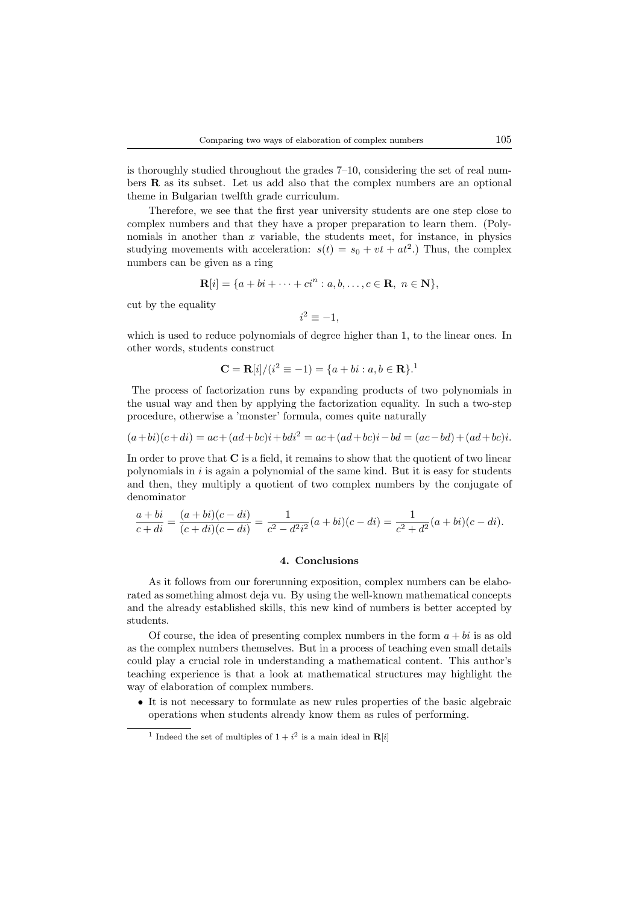is thoroughly studied throughout the grades 7–10, considering the set of real numbers R as its subset. Let us add also that the complex numbers are an optional theme in Bulgarian twelfth grade curriculum.

Therefore, we see that the first year university students are one step close to complex numbers and that they have a proper preparation to learn them. (Polynomials in another than  $x$  variable, the students meet, for instance, in physics studying movements with acceleration:  $s(t) = s_0 + vt + at^2$ . Thus, the complex numbers can be given as a ring

$$
\mathbf{R}[i] = \{a + bi + \cdots + ci^n : a, b, \ldots, c \in \mathbf{R}, n \in \mathbf{N}\},\
$$

cut by the equality

$$
i^2 \equiv -1,
$$

which is used to reduce polynomials of degree higher than 1, to the linear ones. In other words, students construct

$$
\mathbf{C} = \mathbf{R}[i]/(i^2 \equiv -1) = \{a + bi : a, b \in \mathbf{R}\}.
$$

The process of factorization runs by expanding products of two polynomials in the usual way and then by applying the factorization equality. In such a two-step procedure, otherwise a 'monster' formula, comes quite naturally

$$
(a+bi)(c+di) = ac + (ad+bc)i + bdi2 = ac + (ad+bc)i - bd = (ac-bd) + (ad+bc)i.
$$

In order to prove that C is a field, it remains to show that the quotient of two linear polynomials in  $i$  is again a polynomial of the same kind. But it is easy for students and then, they multiply a quotient of two complex numbers by the conjugate of denominator

$$
\frac{a+bi}{c+di} = \frac{(a+bi)(c-di)}{(c+di)(c-di)} = \frac{1}{c^2 - d^2i^2}(a+bi)(c-di) = \frac{1}{c^2 + d^2}(a+bi)(c-di).
$$

### 4. Conclusions

As it follows from our forerunning exposition, complex numbers can be elaborated as something almost deja vu. By using the well-known mathematical concepts and the already established skills, this new kind of numbers is better accepted by students.

Of course, the idea of presenting complex numbers in the form  $a + bi$  is as old as the complex numbers themselves. But in a process of teaching even small details could play a crucial role in understanding a mathematical content. This author's teaching experience is that a look at mathematical structures may highlight the way of elaboration of complex numbers.

• It is not necessary to formulate as new rules properties of the basic algebraic operations when students already know them as rules of performing.

<sup>&</sup>lt;sup>1</sup> Indeed the set of multiples of  $1 + i^2$  is a main ideal in **R**[i]